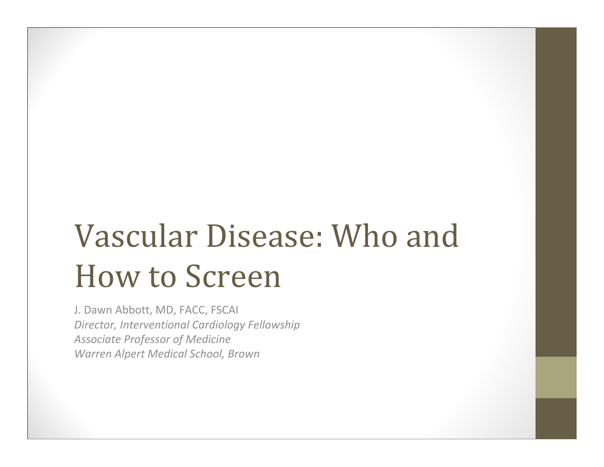# Vascular Disease: Who and How to Screen

J. Dawn Abbott, MD, FACC, FSCAI *Director, Interventional Cardiology Fellowship Associate Professor of Medicine Warren Alpert Medical School, Brown*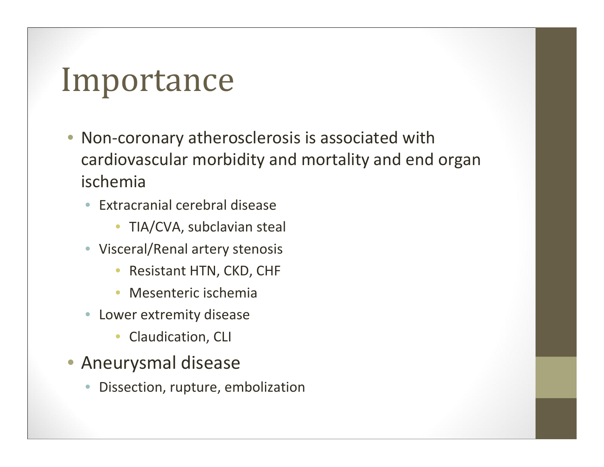#### Importance

- • Non‐coronary atherosclerosis is associated with cardiovascular morbidity and mortality and end organ ischemia
	- $\bullet$  Extracranial cerebral disease
		- TIA/CVA, subclavian steal
	- Visceral/Renal artery stenosis
		- $\bullet$ Resistant HTN, CKD, CHF
		- •Mesenteric ischemia
	- $\bullet$  Lower extremity disease
		- $\bullet$ Claudication, CLI
- Aneurysmal disease
	- •Dissection, rupture, embolization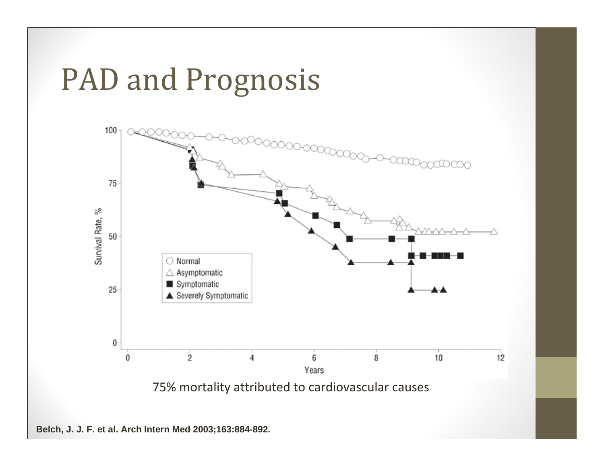#### PAD and Prognosis

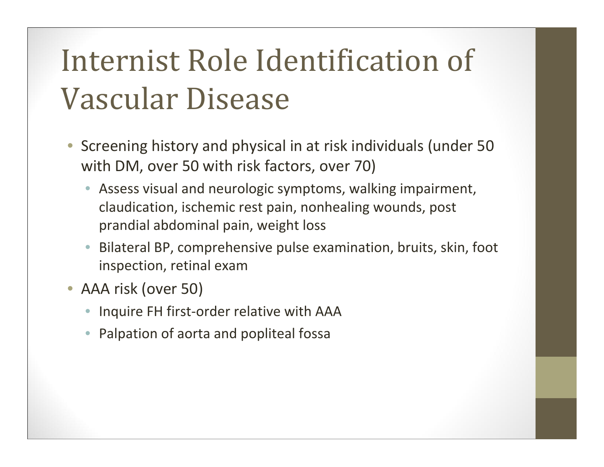#### Internist Role Identification of Vascular Disease

- Screening history and physical in at risk individuals (under 50 with DM, over 50 with risk factors, over 70)
	- Assess visual and neurologic symptoms, walking impairment, claudication, ischemic rest pain, nonhealing wounds, post prandial abdominal pain, weight loss
	- • Bilateral BP, comprehensive pulse examination, bruits, skin, foot inspection, retinal exam
- AAA risk (over 50)
	- Inquire FH first-order relative with AAA
	- •Palpation of aorta and popliteal fossa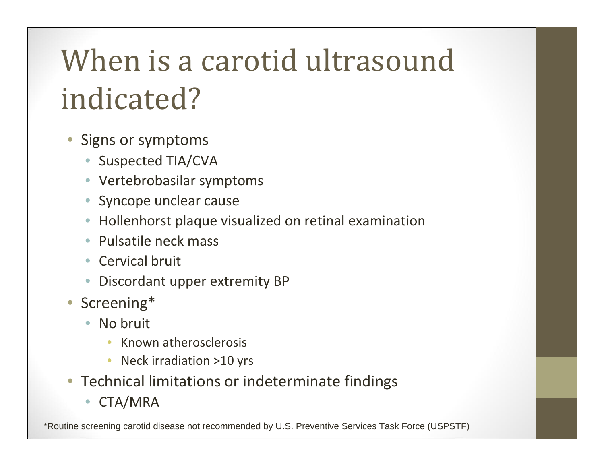#### When is a carotid ultrasound indicated?

- • Signs or symptoms
	- Suspected TIA/CVA
	- Vertebrobasilar symptoms
	- •Syncope unclear cause
	- •Hollenhorst plaque visualized on retinal examination
	- Pulsatile neck mass
	- Cervical bruit
	- Discordant upper extremity BP
- Screening\*
	- $\bullet$ • No bruit
		- •**•** Known atherosclerosis
		- $\bullet$ • Neck irradiation >10 yrs
- Technical limitations or indeterminate findings
	- CTA/MRA

\*Routine screening carotid disease not recommended by U.S. Preventive Services Task Force (USPSTF)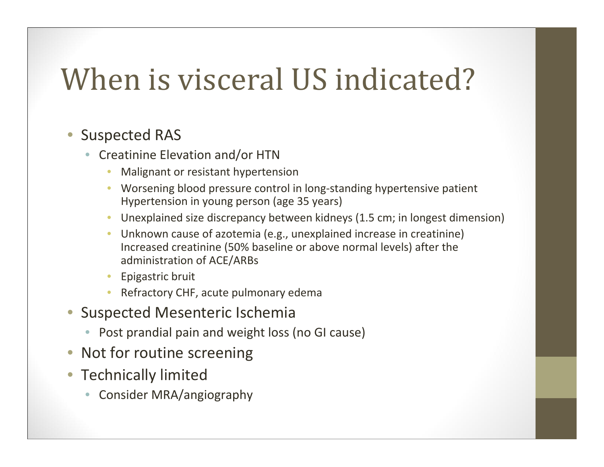#### When is visceral US indicated?

- Suspected RAS
	- Creatinine Elevation and/or HTN
		- •Malignant or resistant hypertension
		- Worsening blood pressure control in long‐standing hypertensive patient Hypertension in young person (age 35 years)
		- Unexplained size discrepancy between kidneys (1.5 cm; in longest dimension)
		- Unknown cause of azotemia (e.g., unexplained increase in creatinine) Increased creatinine (50% baseline or above normal levels) after the administration of ACE/ARBs
		- Epigastric bruit
		- Refractory CHF, acute pulmonary edema
- Suspected Mesenteric Ischemia
	- Post prandial pain and weight loss (no GI cause)
- Not for routine screening
- Technically limited
	- •Consider MRA/angiography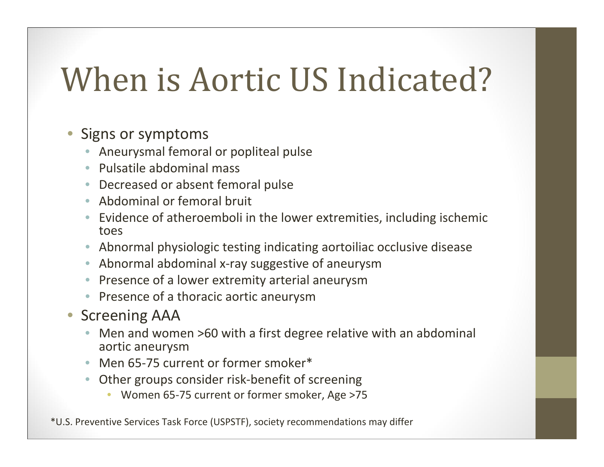### When is Aortic US Indicated?

#### •Signs or symptoms

- •Aneurysmal femoral or popliteal pulse
- Pulsatile abdominal mass
- •● Decreased or absent femoral pulse
- •Abdominal or femoral bruit
- • Evidence of atheroemboli in the lower extremities, including ischemic toes
- •Abnormal physiologic testing indicating aortoiliac occlusive disease
- •■ Abnormal abdominal x-ray suggestive of aneurysm
- •• Presence of a lower extremity arterial aneurysm
- •• Presence of a thoracic aortic aneurysm
- Screening AAA
	- •• Men and women >60 with a first degree relative with an abdominal aortic aneurysm
	- •● Men 65-75 current or former smoker\*
	- • Other groups consider risk‐benefit of screening
		- Women 65‐75 current or former smoker, Age >75

\*U.S. Preventive Services Task Force (USPSTF), society recommendations may differ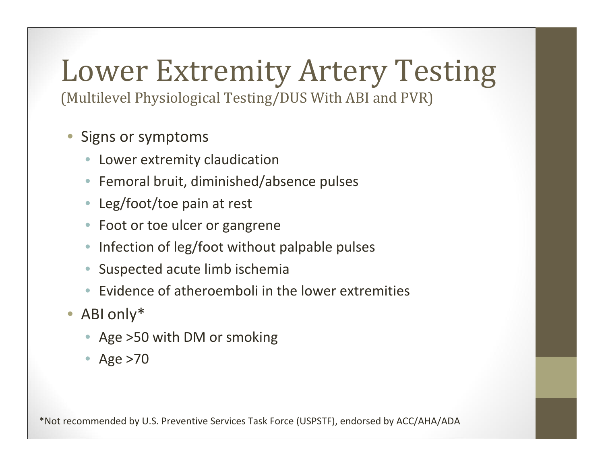# Lower Extremity Artery Testing

(Multilevel Physiological Testing/DUS With ABI and PVR)

- $\bigcirc$  Signs or symptoms
	- Lower extremity claudication
	- •Femoral bruit, diminished/absence pulses
	- Leg/foot/toe pain at rest
	- Foot or toe ulcer or gangrene
	- •• Infection of leg/foot without palpable pulses
	- •Suspected acute limb ischemia
	- •Evidence of atheroemboli in the lower extremities
- ABI only\*
	- Age >50 with DM or smoking
	- Age >70

\*Not recommended by U.S. Preventive Services Task Force (USPSTF), endorsed by ACC/AHA/ADA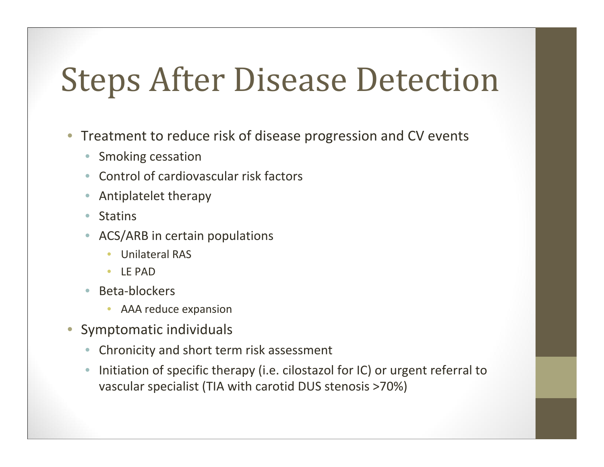# **Steps After Disease Detection**

- Treatment to reduce risk of disease progression and CV events
	- $\bullet$ Smoking cessation
	- •Control of cardiovascular risk factors
	- •Antiplatelet therapy
	- $\bullet$ Statins
	- ACS/ARB in certain populations
		- $\bullet$ Unilateral RAS
		- LE PAD
	- $\bullet$  Beta‐blockers
		- AAA reduce expansion
- $\bullet$  Symptomatic individuals
	- •Chronicity and short term risk assessment
	- $\bullet$  $\bullet$  Initiation of specific therapy (i.e. cilostazol for IC) or urgent referral to vascular specialist (TIA with carotid DUS stenosis >70%)